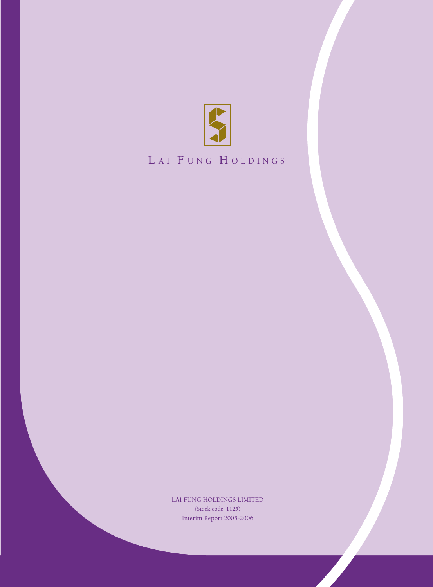

# LAI FUNG HOLDINGS

Interim Report 2005-2006 LAI FUNG HOLDINGS LIMITED (Stock code: 1125)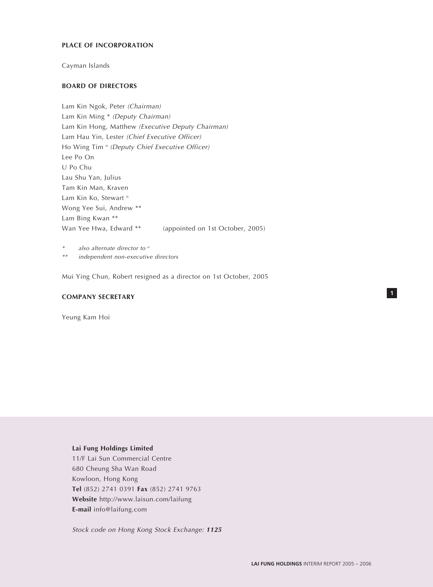#### **PLACE OF INCORPORATION**

Cayman Islands

#### **BOARD OF DIRECTORS**

Lam Kin Ngok, Peter (Chairman) Lam Kin Ming \* (Deputy Chairman) Lam Kin Hong, Matthew (Executive Deputy Chairman) Lam Hau Yin, Lester (Chief Executive Officer) Ho Wing Tim <sup>o</sup> (Deputy Chief Executive Officer) Lee Po On U Po Chu Lau Shu Yan, Julius Tam Kin Man, Kraven Lam Kin Ko, Stewart<sup>o</sup> Wong Yee Sui, Andrew \*\* Lam Bing Kwan \*\* Wan Yee Hwa, Edward \*\* (appointed on 1st October, 2005)

\*also alternate director to  $^{\circ}$ \*\*independent non-executive directors

Mui Ying Chun, Robert resigned as a director on 1st October, 2005

#### **COMPANY SECRETARY**

Yeung Kam Hoi

## **Lai Fung Holdings Limited**

11/F Lai Sun Commercial Centre 680 Cheung Sha Wan Road Kowloon, Hong Kong **Tel** (852) 2741 0391 **Fax** (852) 2741 9763 **Website** http://www.laisun.com/laifung **E-mail** info@laifung.com

Stock code on Hong Kong Stock Exchange: **<sup>1125</sup>**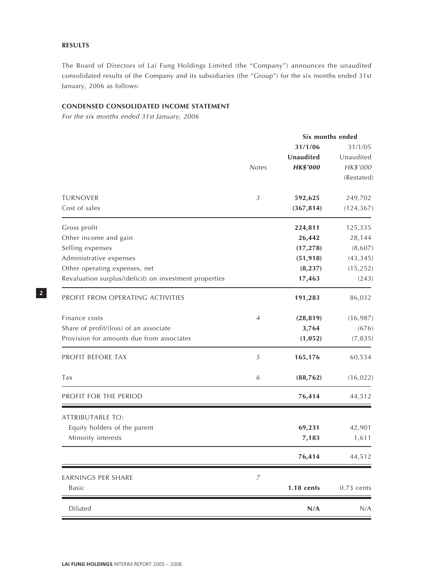## **RESULTS**

The Board of Directors of Lai Fung Holdings Limited (the "Company") announces the unaudited consolidated results of the Company and its subsidiaries (the "Group") for the six months ended 31st January, 2006 as follows:

## **CONDENSED CONSOLIDATED INCOME STATEMENT**

For the six months ended 31st January, 2006

|                                                        |                |                 | Six months ended |
|--------------------------------------------------------|----------------|-----------------|------------------|
|                                                        |                | 31/1/06         | 31/1/05          |
|                                                        |                | Unaudited       | Unaudited        |
|                                                        | <b>Notes</b>   | <b>HK\$'000</b> | HK\$'000         |
|                                                        |                |                 | (Restated)       |
| <b>TURNOVER</b>                                        | $\mathfrak{Z}$ | 592,625         | 249,702          |
| Cost of sales                                          |                | (367, 814)      | (124, 367)       |
| Gross profit                                           |                | 224,811         | 125,335          |
| Other income and gain                                  |                | 26,442          | 28,144           |
| Selling expenses                                       |                | (17, 278)       | (8,607)          |
| Administrative expenses                                |                | (51, 918)       | (43, 345)        |
| Other operating expenses, net                          |                | (8, 237)        | (15, 252)        |
| Revaluation surplus/(deficit) on investment properties |                | 17,463          | (243)            |
| PROFIT FROM OPERATING ACTIVITIES                       |                | 191,283         | 86,032           |
| Finance costs                                          | $\overline{4}$ | (28, 819)       | (16, 987)        |
| Share of profit/(loss) of an associate                 |                | 3,764           | (676)            |
| Provision for amounts due from associates              |                | (1, 052)        | (7, 835)         |
| PROFIT BEFORE TAX                                      | 5              | 165,176         | 60,534           |
| Tax                                                    | 6              | (88, 762)       | (16, 022)        |
| PROFIT FOR THE PERIOD                                  |                | 76,414          | 44,512           |
| <b>ATTRIBUTABLE TO:</b>                                |                |                 |                  |
| Equity holders of the parent                           |                | 69,231          | 42,901           |
| Minority interests                                     |                | 7,183           | 1,611            |
|                                                        |                | 76,414          | 44,512           |
| <b>EARNINGS PER SHARE</b>                              | $\overline{7}$ |                 |                  |
| Basic                                                  |                | 1.18 cents      | $0.73$ cents     |
| Diluted                                                |                | N/A             | N/A              |
|                                                        |                |                 |                  |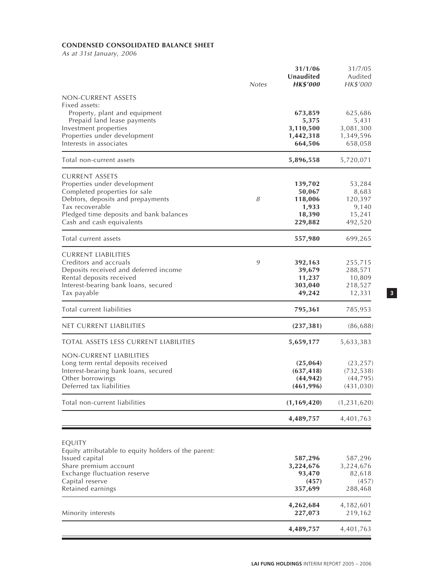## **CONDENSED CONSOLIDATED BALANCE SHEET**

As at 31st January, 2006

|                                                                                                        | <b>Notes</b> | 31/1/06<br>Unaudited<br><b>HK\$'000</b> | 31/7/05<br>Audited<br>HK\$'000 |
|--------------------------------------------------------------------------------------------------------|--------------|-----------------------------------------|--------------------------------|
| NON-CURRENT ASSETS                                                                                     |              |                                         |                                |
| Fixed assets:<br>Property, plant and equipment<br>Prepaid land lease payments<br>Investment properties |              | 673,859<br>5,375<br>3,110,500           | 625,686<br>5,431<br>3,081,300  |
| Properties under development<br>Interests in associates                                                |              | 1,442,318<br>664,506                    | 1,349,596<br>658,058           |
| Total non-current assets                                                                               |              | 5,896,558                               | 5,720,071                      |
| <b>CURRENT ASSETS</b>                                                                                  |              |                                         |                                |
| Properties under development<br>Completed properties for sale                                          |              | 139,702<br>50,067                       | 53,284<br>8,683                |
| Debtors, deposits and prepayments                                                                      | 8            | 118,006                                 | 120,397                        |
| Tax recoverable                                                                                        |              | 1,933                                   | 9,140                          |
| Pledged time deposits and bank balances                                                                |              | 18,390                                  | 15,241                         |
| Cash and cash equivalents                                                                              |              | 229,882                                 | 492,520                        |
| Total current assets                                                                                   |              | 557,980                                 | 699,265                        |
| <b>CURRENT LIABILITIES</b>                                                                             |              |                                         |                                |
| Creditors and accruals<br>Deposits received and deferred income                                        | 9            | 392,163                                 | 255,715                        |
| Rental deposits received                                                                               |              | 39,679<br>11,237                        | 288,571<br>10,809              |
| Interest-bearing bank loans, secured                                                                   |              | 303,040                                 | 218,527                        |
| Tax payable                                                                                            |              | 49,242                                  | 12,331                         |
| Total current liabilities                                                                              |              | 795,361                                 | 785,953                        |
| net current liabilities                                                                                |              | (237, 381)                              | (86, 688)                      |
| <b>TOTAL ASSETS LESS CURRENT LIABILITIES</b>                                                           |              | 5,659,177                               | 5,633,383                      |
| NON-CURRENT LIABILITIES                                                                                |              |                                         |                                |
| Long term rental deposits received                                                                     |              | (25,064)                                | (23, 257)                      |
| Interest-bearing bank loans, secured                                                                   |              | (637, 418)                              | (732, 538)                     |
| Other borrowings<br>Deferred tax liabilities                                                           |              | (44, 942)<br>(461, 996)                 | (44, 795)<br>(431, 030)        |
| Total non-current liabilities                                                                          |              | (1, 169, 420)                           | (1,231,620)                    |
|                                                                                                        |              | 4,489,757                               | 4,401,763                      |
|                                                                                                        |              |                                         |                                |
| EQUITY<br>Equity attributable to equity holders of the parent:                                         |              |                                         |                                |
| Issued capital                                                                                         |              | 587,296                                 | 587,296                        |
| Share premium account                                                                                  |              | 3,224,676                               | 3,224,676                      |
| Exchange fluctuation reserve                                                                           |              | 93,470                                  | 82,618                         |
| Capital reserve<br>Retained earnings                                                                   |              | (457)<br>357,699                        | (457)<br>288,468               |
|                                                                                                        |              | 4,262,684                               | 4,182,601                      |
| Minority interests                                                                                     |              | 227,073                                 | 219,162                        |
|                                                                                                        |              | 4,489,757                               | 4,401,763                      |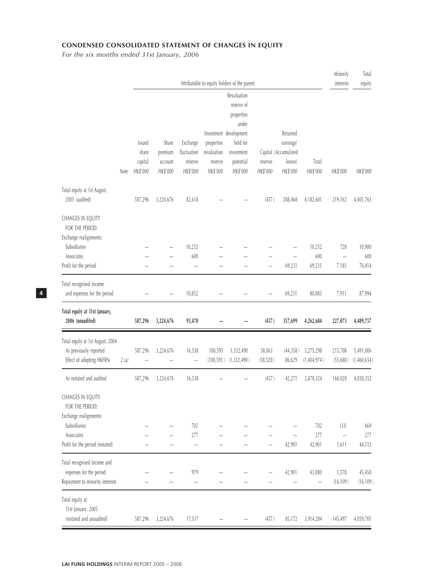## **CONDENSED CONSOLIDATED STATEMENT OF CHANGES IN EQUITY**

For the six months ended 31st January, 2006

|                                                                                           |      |                              |                                |                                           |                                    | Attributable to equity holders of the parent                                           |                     |                                             |                          | Minority<br>interests             | Total<br>equity          |
|-------------------------------------------------------------------------------------------|------|------------------------------|--------------------------------|-------------------------------------------|------------------------------------|----------------------------------------------------------------------------------------|---------------------|---------------------------------------------|--------------------------|-----------------------------------|--------------------------|
|                                                                                           |      | Issued                       | Share                          | Exchange                                  | properties                         | Revaluation<br>reserve of<br>properties<br>under<br>Investment development<br>held for |                     | Retained<br>earnings/                       |                          |                                   |                          |
|                                                                                           | Note | share<br>capital<br>HK\$'000 | premium<br>account<br>HK\$'000 | fluctuation<br>reserve<br>HK\$'000        | revaluation<br>reserve<br>HK\$'000 | investment<br>potential<br>HK\$'000                                                    | reserve<br>HK\$'000 | Capital (Accumulated<br>losses)<br>HK\$'000 | Total<br>HK\$'000        | HK\$'000                          | HK\$'000                 |
| Total equity at 1st August,<br>2005 (audited)                                             |      | 587,296                      | 3,224,676                      | 82,618                                    |                                    |                                                                                        | (457)               | 288,468                                     | 4,182,601                | 219,162                           | 4,401,763                |
| CHANGES IN EQUITY<br>FOR THE PERIOD:<br>Exchange realignments:                            |      |                              |                                |                                           |                                    |                                                                                        |                     |                                             |                          |                                   |                          |
| Subsidiaries<br>Associates<br>Profit for the period                                       |      |                              |                                | 10,252<br>600<br>$\overline{\phantom{0}}$ |                                    |                                                                                        |                     | 69,231                                      | 10,252<br>600<br>69,231  | 728<br>$\equiv$<br>7,183          | 10,980<br>600<br>76,414  |
| Total recognised income                                                                   |      |                              |                                |                                           |                                    |                                                                                        |                     |                                             |                          |                                   |                          |
| and expenses for the period                                                               |      |                              | $\overline{\phantom{0}}$       | 10,852                                    |                                    |                                                                                        |                     | 69,231                                      | 80,083                   | 7,911                             | 87,994                   |
| Total equity at 31st January,<br>2006 (unaudited)                                         |      | 587,296                      | 3,224,676                      | 93,470                                    |                                    |                                                                                        | (457)               | 357,699                                     | 4,262,684                | 227,073                           | 4,489,757                |
| Total equity at 1st August, 2004<br>As previously reported<br>Effect of adopting HKFRSs   | 2(a) | 587,296                      | 3,224,676                      | 16,538                                    | 100,593<br>(100, 593)              | 1,332,490<br>(1, 332, 490)                                                             | 58,063<br>(58, 520) | (44, 358)<br>86,629                         | 5,275,298<br>(1,404,974) | 215,708<br>(55,680)               | 5,491,006<br>(1,460,654) |
| As restated and audited                                                                   |      | 587,296                      | 3,224,676                      | 16,538                                    |                                    |                                                                                        | (457)               | 42,271                                      | 3,870,324                | 160,028                           | 4,030,352                |
| CHANGES IN EQUITY<br>FOR THE PERIOD:<br>Exchange realignments:<br>Subsidiaries            |      |                              |                                | 702                                       |                                    |                                                                                        |                     |                                             | $702$                    | (33)                              | 669                      |
| Associates<br>Profit for the period (restated)                                            |      |                              |                                | 277<br>$\overline{\phantom{0}}$           |                                    |                                                                                        |                     | 42,901                                      | $277\,$<br>42,901        | $\overline{\phantom{0}}$<br>1,611 | $277$<br>44,512          |
| Total recognised income and<br>expenses for the period<br>Repayment to minority interests |      |                              |                                | 979                                       |                                    |                                                                                        |                     | 42,901                                      | 43,880                   | 1,578<br>(16, 109)                | 45,458<br>(16, 109)      |
| Total equity at<br>31st January, 2005<br>(restated and unaudited)                         |      | 587,296                      | 3,224,676                      | 17,517                                    |                                    |                                                                                        | (457)               | 85,172                                      | 3,914,204                | 145,497                           | 4,059,701                |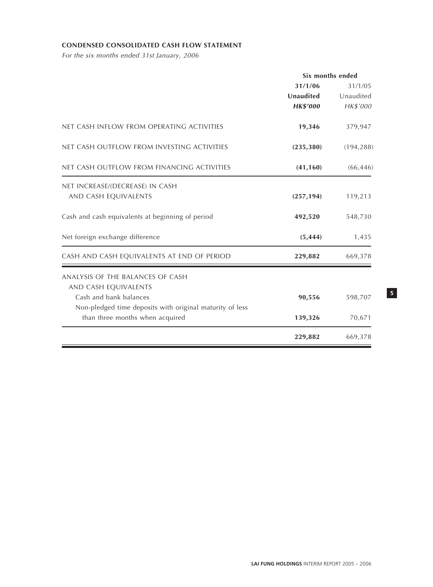## **CONDENSED CONSOLIDATED CASH FLOW STATEMENT**

For the six months ended 31st January, 2006

|                 | Six months ended |
|-----------------|------------------|
| 31/1/06         | 31/1/05          |
| Unaudited       | Unaudited        |
| <b>HK\$'000</b> | HK\$'000         |
| 19,346          | 379,947          |
| (235, 380)      | (194, 288)       |
| (41, 160)       | (66, 446)        |
|                 |                  |
| (257, 194)      | 119,213          |
| 492,520         | 548,730          |
| (5, 444)        | 1,435            |
| 229,882         | 669,378          |
|                 |                  |
|                 |                  |
| 90,556          | 598,707          |
|                 |                  |
| 139,326         | 70,671           |
| 229,882         | 669,378          |
|                 |                  |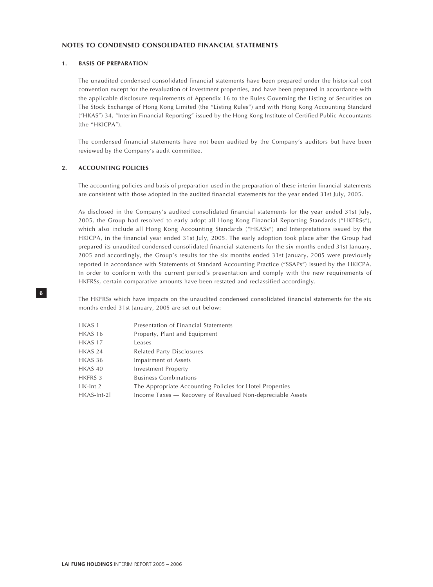#### **NOTES TO CONDENSED CONSOLIDATED FINANCIAL STATEMENTS**

#### **1. BASIS OF PREPARATION**

The unaudited condensed consolidated financial statements have been prepared under the historical cost convention except for the revaluation of investment properties, and have been prepared in accordance with the applicable disclosure requirements of Appendix 16 to the Rules Governing the Listing of Securities on The Stock Exchange of Hong Kong Limited (the "Listing Rules") and with Hong Kong Accounting Standard ("HKAS") 34, "Interim Financial Reporting" issued by the Hong Kong Institute of Certified Public Accountants (the "HKICPA").

The condensed financial statements have not been audited by the Company's auditors but have been reviewed by the Company's audit committee.

#### **2. ACCOUNTING POLICIES**

The accounting policies and basis of preparation used in the preparation of these interim financial statements are consistent with those adopted in the audited financial statements for the year ended 31st July, 2005.

As disclosed in the Company's audited consolidated financial statements for the year ended 31st July, 2005, the Group had resolved to early adopt all Hong Kong Financial Reporting Standards ("HKFRSs"), which also include all Hong Kong Accounting Standards ("HKASs") and Interpretations issued by the HKICPA, in the financial year ended 31st July, 2005. The early adoption took place after the Group had prepared its unaudited condensed consolidated financial statements for the six months ended 31st January, 2005 and accordingly, the Group's results for the six months ended 31st January, 2005 were previously reported in accordance with Statements of Standard Accounting Practice ("SSAPs") issued by the HKICPA. In order to conform with the current period's presentation and comply with the new requirements of HKFRSs, certain comparative amounts have been restated and reclassified accordingly.

The HKFRSs which have impacts on the unaudited condensed consolidated financial statements for the six months ended 31st January, 2005 are set out below:

| HKAS <sub>1</sub> | Presentation of Financial Statements                       |
|-------------------|------------------------------------------------------------|
| HKAS 16           | Property, Plant and Equipment                              |
| HKAS 17           | Leases                                                     |
| HKAS 24           | Related Party Disclosures                                  |
| HKAS 36           | Impairment of Assets                                       |
| HKAS 40           | Investment Property                                        |
| HKFRS 3           | <b>Business Combinations</b>                               |
| HK-Int 2          | The Appropriate Accounting Policies for Hotel Properties   |
| HKAS-Int-21       | Income Taxes — Recovery of Revalued Non-depreciable Assets |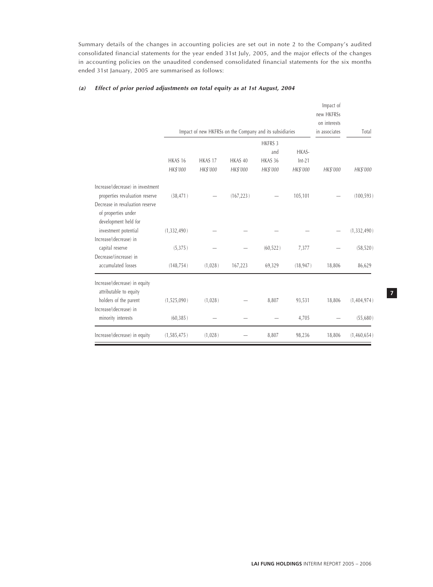Summary details of the changes in accounting policies are set out in note 2 to the Company's audited consolidated financial statements for the year ended 31st July, 2005, and the major effects of the changes in accounting policies on the unaudited condensed consolidated financial statements for the six months ended 31st January, 2005 are summarised as follows:

#### **(a) Effect of prior period adjustments on total equity as at 1st August, 2004**

|                                                                                |                                | Impact of new HKFRSs on the Company and its subsidiaries |                     |                                              |                               | Impact of<br>new HKFRSs<br>on interests<br>in associates | Total         |          |
|--------------------------------------------------------------------------------|--------------------------------|----------------------------------------------------------|---------------------|----------------------------------------------|-------------------------------|----------------------------------------------------------|---------------|----------|
|                                                                                | HKAS <sub>16</sub><br>HK\$'000 | HKAS 17<br>HK\$'000                                      | HKAS 40<br>HK\$'000 | <b>HKFRS 3</b><br>and<br>HKAS 36<br>HK\$'000 | HKAS-<br>$Int-21$<br>HK\$'000 | HK\$'000                                                 |               | HK\$'000 |
| Increase/(decrease) in investment<br>properties revaluation reserve            | (38, 471)                      |                                                          | (167, 223)          |                                              | 105,101                       |                                                          | (100, 593)    |          |
| Decrease in revaluation reserve<br>of properties under<br>development held for |                                |                                                          |                     |                                              |                               |                                                          |               |          |
| investment potential<br>Increase/(decrease) in                                 | (1,332,490)                    |                                                          |                     |                                              |                               |                                                          | (1, 332, 490) |          |
| capital reserve                                                                | (5, 375)                       |                                                          |                     | (60, 522)                                    | 7,377                         |                                                          | (58, 520)     |          |
| Decrease/(increase) in<br>accumulated losses                                   | (148, 754)                     | (1,028)                                                  | 167,223             | 69,329                                       | (18, 947)                     | 18,806                                                   | 86,629        |          |
| Increase/(decrease) in equity<br>attributable to equity                        |                                |                                                          |                     |                                              |                               |                                                          |               |          |
| holders of the parent                                                          | (1,525,090)                    | (1,028)                                                  |                     | 8,807                                        | 93,531                        | 18,806                                                   | (1,404,974)   |          |
| Increase/(decrease) in<br>minority interests                                   | (60, 385)                      |                                                          |                     |                                              | 4,705                         |                                                          | (55,680)      |          |
| Increase/(decrease) in equity                                                  | (1,585,475)                    | (1,028)                                                  |                     | 8,807                                        | 98,236                        | 18,806                                                   | (1,460,654)   |          |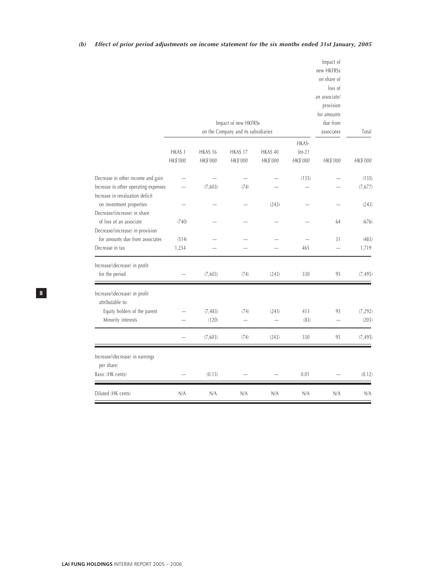|                                                                                                              |                               |                     | Impact of new HKFRSs<br>on the Company and its subsidiaries |                          |                               | Impact of<br>new HKFRSs<br>on share of<br>loss of<br>an associate/<br>provision<br>for amounts<br>due from<br>associates | Total             |
|--------------------------------------------------------------------------------------------------------------|-------------------------------|---------------------|-------------------------------------------------------------|--------------------------|-------------------------------|--------------------------------------------------------------------------------------------------------------------------|-------------------|
|                                                                                                              | HKAS <sub>1</sub><br>HK\$'000 | HKAS 16<br>HK\$'000 | HKAS 17<br>HK\$'000                                         | HKAS 40<br>HK\$'000      | HKAS-<br>$Int-21$<br>HK\$'000 | HK\$'000                                                                                                                 | HK\$'000          |
|                                                                                                              |                               |                     |                                                             |                          |                               |                                                                                                                          |                   |
| Decrease in other income and gain<br>Increase in other operating expenses<br>Increase in revaluation deficit |                               | (7,603)             | (74)                                                        |                          | (135)                         |                                                                                                                          | (135)<br>(7, 677) |
| on investment properties<br>Decrease/(increase) in share                                                     |                               |                     |                                                             | (243)                    |                               |                                                                                                                          | (243)             |
| of loss of an associate<br>Decrease/(increase) in provision                                                  | (740)                         |                     |                                                             |                          |                               | 64                                                                                                                       | (676)             |
| for amounts due from associates                                                                              | (514)                         |                     |                                                             |                          |                               | 31                                                                                                                       | (483)             |
| Decrease in tax                                                                                              | 1,254                         |                     |                                                             |                          | 465                           |                                                                                                                          | 1,719             |
| Increase/(decrease) in profit                                                                                |                               |                     |                                                             |                          |                               |                                                                                                                          |                   |
| for the period                                                                                               |                               | (7,603)             | (74)                                                        | (243)                    | 330                           | 95                                                                                                                       | (7, 495)          |
| Increase/(decrease) in profit<br>attributable to:                                                            |                               |                     |                                                             |                          |                               |                                                                                                                          |                   |
| Equity holders of the parent                                                                                 |                               | (7, 483)            | (74)                                                        | (243)                    | 413                           | 95                                                                                                                       | (7, 292)          |
| Minority interests                                                                                           |                               | (120)               | $\overline{\phantom{0}}$                                    | $\overline{\phantom{0}}$ | (83)                          |                                                                                                                          | (203)             |
|                                                                                                              |                               | (7,603)             | (74)                                                        | (243)                    | 330                           | 95                                                                                                                       | (7, 495)          |
| Increase/(decrease) in earnings<br>per share:                                                                |                               |                     |                                                             |                          |                               |                                                                                                                          |                   |
| Basic (HK cents)                                                                                             |                               | (0.13)              |                                                             |                          | 0.01                          |                                                                                                                          | (0.12)            |
| Diluted (HK cents)                                                                                           | N/A                           | N/A                 | N/A                                                         | N/A                      | N/A                           | N/A                                                                                                                      | N/A               |

## **(b) Effect of prior period adjustments on income statement for the six months ended 31st January, 2005**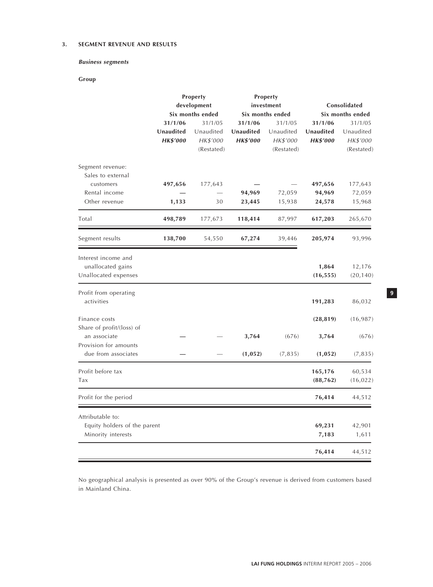## **3. SEGMENT REVENUE AND RESULTS**

## **Business segments**

## **Group**

|                                                                        | Property<br>development<br>Six months ended |                                                |                                         | Property<br>investment<br>Six months ended     | Consolidated<br>Six months ended        |                                                |  |
|------------------------------------------------------------------------|---------------------------------------------|------------------------------------------------|-----------------------------------------|------------------------------------------------|-----------------------------------------|------------------------------------------------|--|
|                                                                        | 31/1/06<br>Unaudited<br><b>HK\$'000</b>     | 31/1/05<br>Unaudited<br>HK\$'000<br>(Restated) | 31/1/06<br>Unaudited<br><b>HK\$'000</b> | 31/1/05<br>Unaudited<br>HK\$'000<br>(Restated) | 31/1/06<br>Unaudited<br><b>HK\$'000</b> | 31/1/05<br>Unaudited<br>HK\$'000<br>(Restated) |  |
| Segment revenue:<br>Sales to external<br>customers<br>Rental income    | 497,656                                     | 177,643                                        | 94,969                                  | 72,059                                         | 497,656<br>94,969                       | 177,643<br>72,059                              |  |
| Other revenue                                                          | 1,133                                       | 30                                             | 23,445                                  | 15,938                                         | 24,578                                  | 15,968                                         |  |
| Total                                                                  | 498,789                                     | 177,673                                        | 118,414                                 | 87,997                                         | 617,203                                 | 265,670                                        |  |
| Segment results                                                        | 138,700                                     | 54,550                                         | 67,274                                  | 39,446                                         | 205,974                                 | 93,996                                         |  |
| Interest income and<br>unallocated gains<br>Unallocated expenses       |                                             |                                                |                                         |                                                | 1,864<br>(16, 555)                      | 12,176<br>(20, 140)                            |  |
| Profit from operating<br>activities                                    |                                             |                                                |                                         |                                                | 191,283                                 | 86,032                                         |  |
| Finance costs<br>Share of profit/(loss) of                             |                                             |                                                |                                         |                                                | (28, 819)                               | (16, 987)                                      |  |
| an associate<br>Provision for amounts<br>due from associates           |                                             |                                                | 3,764<br>(1, 052)                       | (676)<br>(7, 835)                              | 3,764<br>(1, 052)                       | (676)<br>(7, 835)                              |  |
| Profit before tax<br>Tax                                               |                                             |                                                |                                         |                                                | 165,176<br>(88, 762)                    | 60,534<br>(16, 022)                            |  |
| Profit for the period                                                  |                                             |                                                |                                         |                                                | 76,414                                  | 44,512                                         |  |
| Attributable to:<br>Equity holders of the parent<br>Minority interests |                                             |                                                |                                         |                                                | 69,231<br>7,183                         | 42,901<br>1,611                                |  |
|                                                                        |                                             |                                                |                                         |                                                | 76,414                                  | 44,512                                         |  |

No geographical analysis is presented as over 90% of the Group's revenue is derived from customers based in Mainland China.

Ξ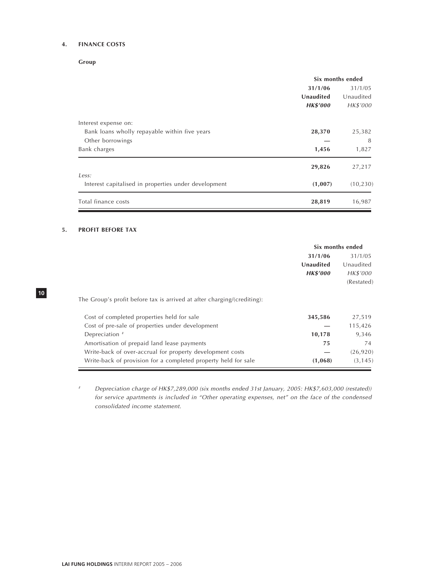## **4. FINANCE COSTS**

**Group**

|                                                      | Six months ended |           |  |
|------------------------------------------------------|------------------|-----------|--|
|                                                      | 31/1/06          | 31/1/05   |  |
|                                                      | Unaudited        | Unaudited |  |
|                                                      | <b>HK\$'000</b>  | HK\$'000  |  |
| Interest expense on:                                 |                  |           |  |
| Bank loans wholly repayable within five years        | 28,370           | 25,382    |  |
| Other borrowings                                     |                  | 8         |  |
| Bank charges                                         | 1,456            | 1,827     |  |
|                                                      | 29,826           | 27,217    |  |
| Less:                                                |                  |           |  |
| Interest capitalised in properties under development | (1,007)          | (10, 230) |  |
| Total finance costs                                  | 28,819           | 16,987    |  |

#### **5. PROFIT BEFORE TAX**

**10**

|                                                                         | Six months ended |            |
|-------------------------------------------------------------------------|------------------|------------|
|                                                                         | 31/1/06          | 31/1/05    |
|                                                                         | Unaudited        | Unaudited  |
|                                                                         | <b>HK\$'000</b>  | HK\$'000   |
|                                                                         |                  | (Restated) |
| The Group's profit before tax is arrived at after charging/(crediting): |                  |            |
| Cost of completed properties held for sale                              | 345,586          | 27,519     |
| Cost of pre-sale of properties under development                        |                  | 115,426    |
| Depreciation #                                                          | 10,178           | 9,346      |
| Amortisation of prepaid land lease payments                             | 75               | 74         |
| Write-back of over-accrual for property development costs               |                  | (26, 920)  |
| Write-back of provision for a completed property held for sale          | (1,068)          | (3, 145)   |

# Depreciation charge of HK\$7,289,000 (six months ended 31st January, 2005: HK\$7,603,000 (restated)) for service apartments is included in "Other operating expenses, net" on the face of the condensed consolidated income statement.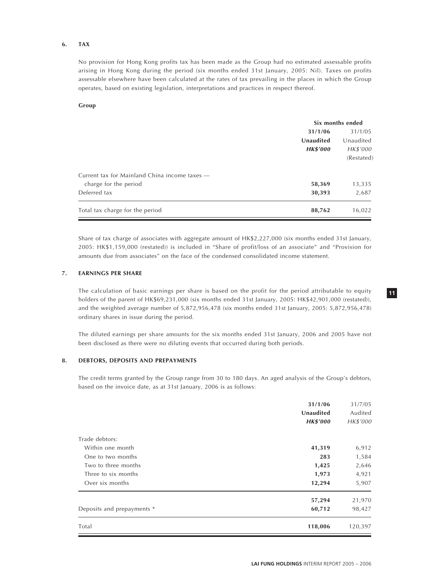#### **6. TAX**

No provision for Hong Kong profits tax has been made as the Group had no estimated assessable profits arising in Hong Kong during the period (six months ended 31st January, 2005: Nil). Taxes on profits assessable elsewhere have been calculated at the rates of tax prevailing in the places in which the Group operates, based on existing legislation, interpretations and practices in respect thereof.

#### **Group**

|                                               |                 | Six months ended |
|-----------------------------------------------|-----------------|------------------|
|                                               | 31/1/06         | 31/1/05          |
|                                               | Unaudited       | Unaudited        |
|                                               | <b>HK\$'000</b> | HK\$'000         |
|                                               |                 | (Restated)       |
| Current tax for Mainland China income taxes — |                 |                  |
| charge for the period                         | 58,369          | 13,335           |
| Deferred tax                                  | 30,393          | 2,687            |
| Total tax charge for the period               | 88,762          | 16,022           |

Share of tax charge of associates with aggregate amount of HK\$2,227,000 (six months ended 31st January, 2005: HK\$1,159,000 (restated)) is included in "Share of profit/loss of an associate" and "Provision for amounts due from associates" on the face of the condensed consolidated income statement.

## **7. EARNINGS PER SHARE**

The calculation of basic earnings per share is based on the profit for the period attributable to equity holders of the parent of HK\$69,231,000 (six months ended 31st January, 2005: HK\$42,901,000 (restated)), and the weighted average number of 5,872,956,478 (six months ended 31st January, 2005: 5,872,956,478) ordinary shares in issue during the period.

The diluted earnings per share amounts for the six months ended 31st January, 2006 and 2005 have not been disclosed as there were no diluting events that occurred during both periods.

#### **8. DEBTORS, DEPOSITS AND PREPAYMENTS**

The credit terms granted by the Group range from 30 to 180 days. An aged analysis of the Group's debtors, based on the invoice date, as at 31st January, 2006 is as follows:

| Unaudited<br><b>HK\$'000</b><br>Trade debtors:<br>Within one month<br>41,319<br>One to two months<br>283<br>Two to three months<br>1,425<br>Three to six months<br>1,973<br>12,294<br>Over six months<br>57,294 | 31/7/05  |
|-----------------------------------------------------------------------------------------------------------------------------------------------------------------------------------------------------------------|----------|
|                                                                                                                                                                                                                 | Audited  |
|                                                                                                                                                                                                                 | HK\$'000 |
|                                                                                                                                                                                                                 |          |
|                                                                                                                                                                                                                 | 6,912    |
|                                                                                                                                                                                                                 | 1,584    |
|                                                                                                                                                                                                                 | 2,646    |
|                                                                                                                                                                                                                 | 4,921    |
|                                                                                                                                                                                                                 | 5,907    |
|                                                                                                                                                                                                                 | 21,970   |
| Deposits and prepayments *<br>60,712                                                                                                                                                                            | 98,427   |
| Total<br>118,006                                                                                                                                                                                                | 120,397  |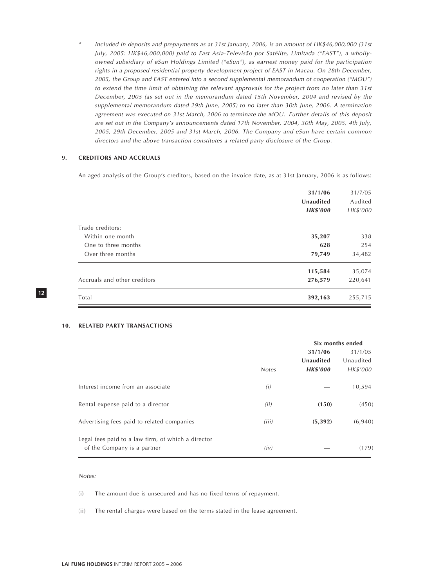\* Included in deposits and prepayments as at 31st January, 2006, is an amount of HK\$46,000,000 (31st July, 2005: HK\$46,000,000) paid to East Asia-Televisão por Satélite, Limitada ("EAST"), a whollyowned subsidiary of eSun Holdings Limited ("eSun"), as earnest money paid for the participation rights in a proposed residential property development project of EAST in Macau. On 28th December, 2005, the Group and EAST entered into a second supplemental memorandum of cooperation ("MOU") to extend the time limit of obtaining the relevant approvals for the project from no later than 31st December, 2005 (as set out in the memorandum dated 15th November, 2004 and revised by the supplemental memorandum dated 29th June, 2005) to no later than 30th June, 2006. A termination agreement was executed on 31st March, 2006 to terminate the MOU. Further details of this deposit are set out in the Company's announcements dated 17th November, 2004, 30th May, 2005, 4th July, 2005, 29th December, 2005 and 31st March, 2006. The Company and eSun have certain common directors and the above transaction constitutes a related party disclosure of the Group.

#### **9. CREDITORS AND ACCRUALS**

An aged analysis of the Group's creditors, based on the invoice date, as at 31st January, 2006 is as follows:

|                              | 31/1/06<br>Unaudited<br><b>HK\$'000</b> | 31/7/05<br>Audited<br>HK\$'000 |
|------------------------------|-----------------------------------------|--------------------------------|
| Trade creditors:             |                                         |                                |
| Within one month             | 35,207                                  | 338                            |
| One to three months          | 628                                     | 254                            |
| Over three months            | 79,749                                  | 34,482                         |
|                              | 115,584                                 | 35,074                         |
| Accruals and other creditors | 276,579                                 | 220,641                        |
| Total                        | 392,163                                 | 255,715                        |

#### **10. RELATED PARTY TRANSACTIONS**

|                                                    | Six months ended |                 |           |
|----------------------------------------------------|------------------|-----------------|-----------|
|                                                    |                  | 31/1/06         | 31/1/05   |
|                                                    |                  | Unaudited       | Unaudited |
|                                                    | <b>Notes</b>     | <b>HK\$'000</b> | HK\$'000  |
| Interest income from an associate                  | (i)              |                 | 10,594    |
| Rental expense paid to a director                  | (ii)             | (150)           | (450)     |
| Advertising fees paid to related companies         | (iii)            | (5, 392)        | (6,940)   |
| Legal fees paid to a law firm, of which a director |                  |                 |           |
| of the Company is a partner                        | (iv)             |                 | (179)     |

#### Notes:

- (i) The amount due is unsecured and has no fixed terms of repayment.
- (ii) The rental charges were based on the terms stated in the lease agreement.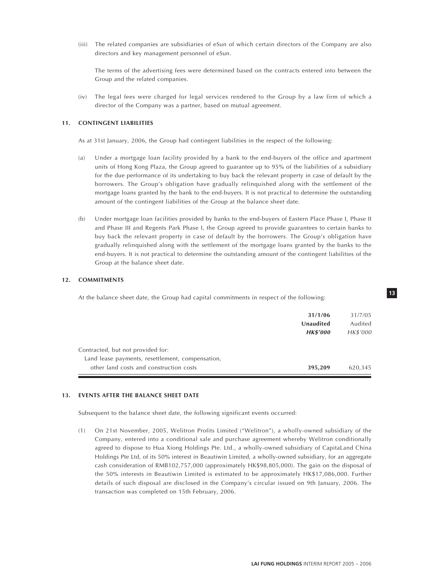(iii) The related companies are subsidiaries of eSun of which certain directors of the Company are also directors and key management personnel of eSun.

The terms of the advertising fees were determined based on the contracts entered into between the Group and the related companies.

(iv) The legal fees were charged for legal services rendered to the Group by a law firm of which a director of the Company was a partner, based on mutual agreement.

#### **11. CONTINGENT LIABILITIES**

As at 31st January, 2006, the Group had contingent liabilities in the respect of the following:

- (a) Under a mortgage loan facility provided by a bank to the end-buyers of the office and apartment units of Hong Kong Plaza, the Group agreed to guarantee up to 95% of the liabilities of a subsidiary for the due performance of its undertaking to buy back the relevant property in case of default by the borrowers. The Group's obligation have gradually relinquished along with the settlement of the mortgage loans granted by the bank to the end-buyers. It is not practical to determine the outstanding amount of the contingent liabilities of the Group at the balance sheet date.
- (b) Under mortgage loan facilities provided by banks to the end-buyers of Eastern Place Phase I, Phase II and Phase III and Regents Park Phase I, the Group agreed to provide guarantees to certain banks to buy back the relevant property in case of default by the borrowers. The Group's obligation have gradually relinquished along with the settlement of the mortgage loans granted by the banks to the end-buyers. It is not practical to determine the outstanding amount of the contingent liabilities of the Group at the balance sheet date.

#### **12. COMMITMENTS**

At the balance sheet date, the Group had capital commitments in respect of the following:

| 31/1/06<br>Unaudited<br><b>HK\$'000</b>                                               | 31/7/05<br>Audited<br>HK\$'000 |
|---------------------------------------------------------------------------------------|--------------------------------|
| Contracted, but not provided for:<br>Land lease payments, resettlement, compensation, |                                |
| other land costs and construction costs<br>395,209                                    | 620,345                        |

#### **13. EVENTS AFTER THE BALANCE SHEET DATE**

Subsequent to the balance sheet date, the following significant events occurred:

(1) On 21st November, 2005, Welitron Profits Limited ("Welitron"), a wholly-owned subsidiary of the Company, entered into a conditional sale and purchase agreement whereby Welitron conditionally agreed to dispose to Hua Xiong Holdings Pte. Ltd., a wholly-owned subsidiary of CapitaLand China Holdings Pte Ltd, of its 50% interest in Beautiwin Limited, a wholly-owned subsidiary, for an aggregate cash consideration of RMB102,757,000 (approximately HK\$98,805,000). The gain on the disposal of the 50% interests in Beautiwin Limited is estimated to be approximately HK\$17,086,000. Further details of such disposal are disclosed in the Company's circular issued on 9th January, 2006. The transaction was completed on 15th February, 2006.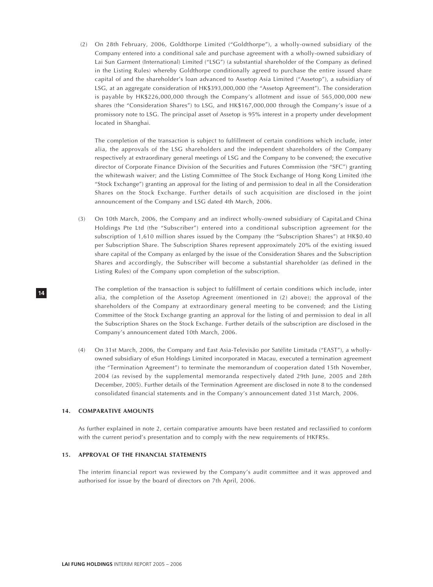(2) On 28th February, 2006, Goldthorpe Limited ("Goldthorpe"), a wholly-owned subsidiary of the Company entered into a conditional sale and purchase agreement with a wholly-owned subsidiary of Lai Sun Garment (International) Limited ("LSG") (a substantial shareholder of the Company as defined in the Listing Rules) whereby Goldthorpe conditionally agreed to purchase the entire issued share capital of and the shareholder's loan advanced to Assetop Asia Limited ("Assetop"), a subsidiary of LSG, at an aggregate consideration of HK\$393,000,000 (the "Assetop Agreement"). The consideration is payable by HK\$226,000,000 through the Company's allotment and issue of 565,000,000 new shares (the "Consideration Shares") to LSG, and HK\$167,000,000 through the Company's issue of a promissory note to LSG. The principal asset of Assetop is 95% interest in a property under development located in Shanghai.

The completion of the transaction is subject to fulfillment of certain conditions which include, inter alia, the approvals of the LSG shareholders and the independent shareholders of the Company respectively at extraordinary general meetings of LSG and the Company to be convened; the executive director of Corporate Finance Division of the Securities and Futures Commission (the "SFC") granting the whitewash waiver; and the Listing Committee of The Stock Exchange of Hong Kong Limited (the "Stock Exchange") granting an approval for the listing of and permission to deal in all the Consideration Shares on the Stock Exchange. Further details of such acquisition are disclosed in the joint announcement of the Company and LSG dated 4th March, 2006.

(3) On 10th March, 2006, the Company and an indirect wholly-owned subsidiary of CapitaLand China Holdings Pte Ltd (the "Subscriber") entered into a conditional subscription agreement for the subscription of 1,610 million shares issued by the Company (the "Subscription Shares") at HK\$0.40 per Subscription Share. The Subscription Shares represent approximately 20% of the existing issued share capital of the Company as enlarged by the issue of the Consideration Shares and the Subscription Shares and accordingly, the Subscriber will become a substantial shareholder (as defined in the Listing Rules) of the Company upon completion of the subscription.

The completion of the transaction is subject to fulfillment of certain conditions which include, inter alia, the completion of the Assetop Agreement (mentioned in (2) above); the approval of the shareholders of the Company at extraordinary general meeting to be convened; and the Listing Committee of the Stock Exchange granting an approval for the listing of and permission to deal in all the Subscription Shares on the Stock Exchange. Further details of the subscription are disclosed in the Company's announcement dated 10th March, 2006.

(4) On 31st March, 2006, the Company and East Asia-Televisão por Satélite Limitada ("EAST"), a whollyowned subsidiary of eSun Holdings Limited incorporated in Macau, executed a termination agreement (the "Termination Agreement") to terminate the memorandum of cooperation dated 15th November, 2004 (as revised by the supplemental memoranda respectively dated 29th June, 2005 and 28th December, 2005). Further details of the Termination Agreement are disclosed in note 8 to the condensed consolidated financial statements and in the Company's announcement dated 31st March, 2006.

#### **14. COMPARATIVE AMOUNTS**

**14**

As further explained in note 2, certain comparative amounts have been restated and reclassified to conform with the current period's presentation and to comply with the new requirements of HKFRSs.

#### **15. APPROVAL OF THE FINANCIAL STATEMENTS**

The interim financial report was reviewed by the Company's audit committee and it was approved and authorised for issue by the board of directors on 7th April, 2006.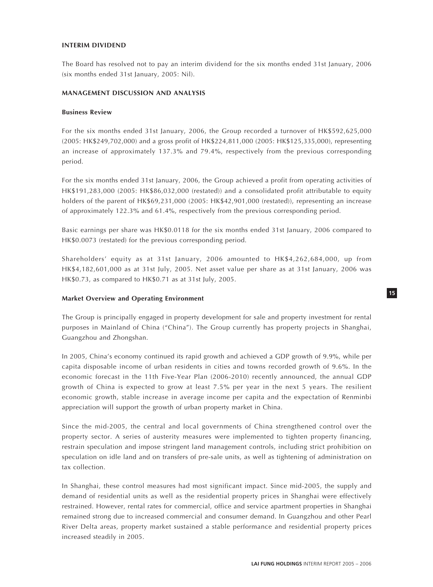#### **INTERIM DIVIDEND**

The Board has resolved not to pay an interim dividend for the six months ended 31st January, 2006 (six months ended 31st January, 2005: Nil).

#### **MANAGEMENT DISCUSSION AND ANALYSIS**

#### **Business Review**

For the six months ended 31st January, 2006, the Group recorded a turnover of HK\$592,625,000 (2005: HK\$249,702,000) and a gross profit of HK\$224,811,000 (2005: HK\$125,335,000), representing an increase of approximately 137.3% and 79.4%, respectively from the previous corresponding period.

For the six months ended 31st January, 2006, the Group achieved a profit from operating activities of HK\$191,283,000 (2005: HK\$86,032,000 (restated)) and a consolidated profit attributable to equity holders of the parent of HK\$69,231,000 (2005: HK\$42,901,000 (restated)), representing an increase of approximately 122.3% and 61.4%, respectively from the previous corresponding period.

Basic earnings per share was HK\$0.0118 for the six months ended 31st January, 2006 compared to HK\$0.0073 (restated) for the previous corresponding period.

Shareholders' equity as at 31st January, 2006 amounted to HK\$4,262,684,000, up from HK\$4,182,601,000 as at 31st July, 2005. Net asset value per share as at 31st January, 2006 was HK\$0.73, as compared to HK\$0.71 as at 31st July, 2005.

#### **Market Overview and Operating Environment**

The Group is principally engaged in property development for sale and property investment for rental purposes in Mainland of China ("China"). The Group currently has property projects in Shanghai, Guangzhou and Zhongshan.

In 2005, China's economy continued its rapid growth and achieved a GDP growth of 9.9%, while per capita disposable income of urban residents in cities and towns recorded growth of 9.6%. In the economic forecast in the 11th Five-Year Plan (2006-2010) recently announced, the annual GDP growth of China is expected to grow at least 7.5% per year in the next 5 years. The resilient economic growth, stable increase in average income per capita and the expectation of Renminbi appreciation will support the growth of urban property market in China.

Since the mid-2005, the central and local governments of China strengthened control over the property sector. A series of austerity measures were implemented to tighten property financing, restrain speculation and impose stringent land management controls, including strict prohibition on speculation on idle land and on transfers of pre-sale units, as well as tightening of administration on tax collection.

In Shanghai, these control measures had most significant impact. Since mid-2005, the supply and demand of residential units as well as the residential property prices in Shanghai were effectively restrained. However, rental rates for commercial, office and service apartment properties in Shanghai remained strong due to increased commercial and consumer demand. In Guangzhou and other Pearl River Delta areas, property market sustained a stable performance and residential property prices increased steadily in 2005.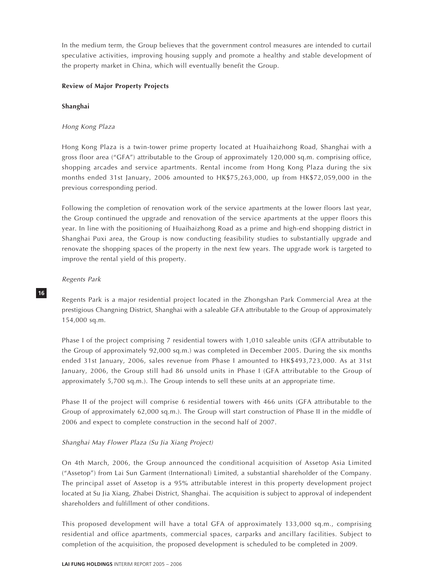In the medium term, the Group believes that the government control measures are intended to curtail speculative activities, improving housing supply and promote a healthy and stable development of the property market in China, which will eventually benefit the Group.

## **Review of Major Property Projects**

#### **Shanghai**

## Hong Kong Plaza

Hong Kong Plaza is a twin-tower prime property located at Huaihaizhong Road, Shanghai with a gross floor area ("GFA") attributable to the Group of approximately 120,000 sq.m. comprising office, shopping arcades and service apartments. Rental income from Hong Kong Plaza during the six months ended 31st January, 2006 amounted to HK\$75,263,000, up from HK\$72,059,000 in the previous corresponding period.

Following the completion of renovation work of the service apartments at the lower floors last year, the Group continued the upgrade and renovation of the service apartments at the upper floors this year. In line with the positioning of Huaihaizhong Road as a prime and high-end shopping district in Shanghai Puxi area, the Group is now conducting feasibility studies to substantially upgrade and renovate the shopping spaces of the property in the next few years. The upgrade work is targeted to improve the rental yield of this property.

#### Regents Park

**16**

Regents Park is a major residential project located in the Zhongshan Park Commercial Area at the prestigious Changning District, Shanghai with a saleable GFA attributable to the Group of approximately 154,000 sq.m.

Phase I of the project comprising 7 residential towers with 1,010 saleable units (GFA attributable to the Group of approximately 92,000 sq.m.) was completed in December 2005. During the six months ended 31st January, 2006, sales revenue from Phase I amounted to HK\$493,723,000. As at 31st January, 2006, the Group still had 86 unsold units in Phase I (GFA attributable to the Group of approximately 5,700 sq.m.). The Group intends to sell these units at an appropriate time.

Phase II of the project will comprise 6 residential towers with 466 units (GFA attributable to the Group of approximately 62,000 sq.m.). The Group will start construction of Phase II in the middle of 2006 and expect to complete construction in the second half of 2007.

## Shanghai May Flower Plaza (Su Jia Xiang Project)

On 4th March, 2006, the Group announced the conditional acquisition of Assetop Asia Limited ("Assetop") from Lai Sun Garment (International) Limited, a substantial shareholder of the Company. The principal asset of Assetop is a 95% attributable interest in this property development project located at Su Jia Xiang, Zhabei District, Shanghai. The acquisition is subject to approval of independent shareholders and fulfillment of other conditions.

This proposed development will have a total GFA of approximately 133,000 sq.m., comprising residential and office apartments, commercial spaces, carparks and ancillary facilities. Subject to completion of the acquisition, the proposed development is scheduled to be completed in 2009.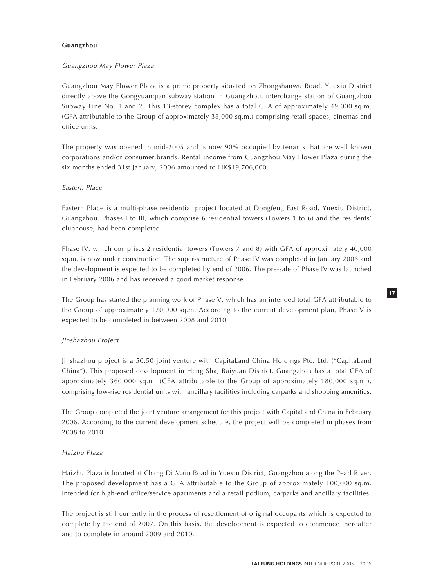#### **Guangzhou**

## Guangzhou May Flower Plaza

Guangzhou May Flower Plaza is a prime property situated on Zhongshanwu Road, Yuexiu District directly above the Gongyuanqian subway station in Guangzhou, interchange station of Guangzhou Subway Line No. 1 and 2. This 13-storey complex has a total GFA of approximately 49,000 sq.m. (GFA attributable to the Group of approximately 38,000 sq.m.) comprising retail spaces, cinemas and office units.

The property was opened in mid-2005 and is now 90% occupied by tenants that are well known corporations and/or consumer brands. Rental income from Guangzhou May Flower Plaza during the six months ended 31st January, 2006 amounted to HK\$19,706,000.

## Eastern Place

Eastern Place is a multi-phase residential project located at Dongfeng East Road, Yuexiu District, Guangzhou. Phases I to III, which comprise 6 residential towers (Towers 1 to 6) and the residents' clubhouse, had been completed.

Phase IV, which comprises 2 residential towers (Towers 7 and 8) with GFA of approximately 40,000 sq.m. is now under construction. The super-structure of Phase IV was completed in January 2006 and the development is expected to be completed by end of 2006. The pre-sale of Phase IV was launched in February 2006 and has received a good market response.

The Group has started the planning work of Phase V, which has an intended total GFA attributable to the Group of approximately 120,000 sq.m. According to the current development plan, Phase V is expected to be completed in between 2008 and 2010.

## Jinshazhou Project

Jinshazhou project is a 50:50 joint venture with CapitaLand China Holdings Pte. Ltd. ("CapitaLand China"). This proposed development in Heng Sha, Baiyuan District, Guangzhou has a total GFA of approximately 360,000 sq.m. (GFA attributable to the Group of approximately 180,000 sq.m.), comprising low-rise residential units with ancillary facilities including carparks and shopping amenities.

The Group completed the joint venture arrangement for this project with CapitaLand China in February 2006. According to the current development schedule, the project will be completed in phases from 2008 to 2010.

#### Haizhu Plaza

Haizhu Plaza is located at Chang Di Main Road in Yuexiu District, Guangzhou along the Pearl River. The proposed development has a GFA attributable to the Group of approximately 100,000 sq.m. intended for high-end office/service apartments and a retail podium, carparks and ancillary facilities.

The project is still currently in the process of resettlement of original occupants which is expected to complete by the end of 2007. On this basis, the development is expected to commence thereafter and to complete in around 2009 and 2010.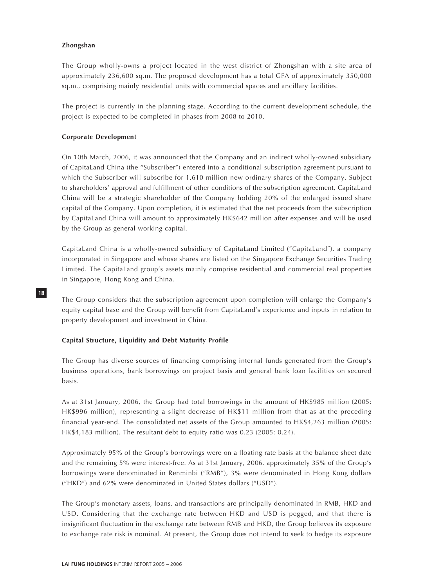#### **Zhongshan**

**18**

The Group wholly-owns a project located in the west district of Zhongshan with a site area of approximately 236,600 sq.m. The proposed development has a total GFA of approximately 350,000 sq.m., comprising mainly residential units with commercial spaces and ancillary facilities.

The project is currently in the planning stage. According to the current development schedule, the project is expected to be completed in phases from 2008 to 2010.

#### **Corporate Development**

On 10th March, 2006, it was announced that the Company and an indirect wholly-owned subsidiary of CapitaLand China (the "Subscriber") entered into a conditional subscription agreement pursuant to which the Subscriber will subscribe for 1,610 million new ordinary shares of the Company. Subject to shareholders' approval and fulfillment of other conditions of the subscription agreement, CapitaLand China will be a strategic shareholder of the Company holding 20% of the enlarged issued share capital of the Company. Upon completion, it is estimated that the net proceeds from the subscription by CapitaLand China will amount to approximately HK\$642 million after expenses and will be used by the Group as general working capital.

CapitaLand China is a wholly-owned subsidiary of CapitaLand Limited ("CapitaLand"), a company incorporated in Singapore and whose shares are listed on the Singapore Exchange Securities Trading Limited. The CapitaLand group's assets mainly comprise residential and commercial real properties in Singapore, Hong Kong and China.

The Group considers that the subscription agreement upon completion will enlarge the Company's equity capital base and the Group will benefit from CapitaLand's experience and inputs in relation to property development and investment in China.

#### **Capital Structure, Liquidity and Debt Maturity Profile**

The Group has diverse sources of financing comprising internal funds generated from the Group's business operations, bank borrowings on project basis and general bank loan facilities on secured basis.

As at 31st January, 2006, the Group had total borrowings in the amount of HK\$985 million (2005: HK\$996 million), representing a slight decrease of HK\$11 million from that as at the preceding financial year-end. The consolidated net assets of the Group amounted to HK\$4,263 million (2005: HK\$4,183 million). The resultant debt to equity ratio was 0.23 (2005: 0.24).

Approximately 95% of the Group's borrowings were on a floating rate basis at the balance sheet date and the remaining 5% were interest-free. As at 31st January, 2006, approximately 35% of the Group's borrowings were denominated in Renminbi ("RMB"), 3% were denominated in Hong Kong dollars ("HKD") and 62% were denominated in United States dollars ("USD").

The Group's monetary assets, loans, and transactions are principally denominated in RMB, HKD and USD. Considering that the exchange rate between HKD and USD is pegged, and that there is insignificant fluctuation in the exchange rate between RMB and HKD, the Group believes its exposure to exchange rate risk is nominal. At present, the Group does not intend to seek to hedge its exposure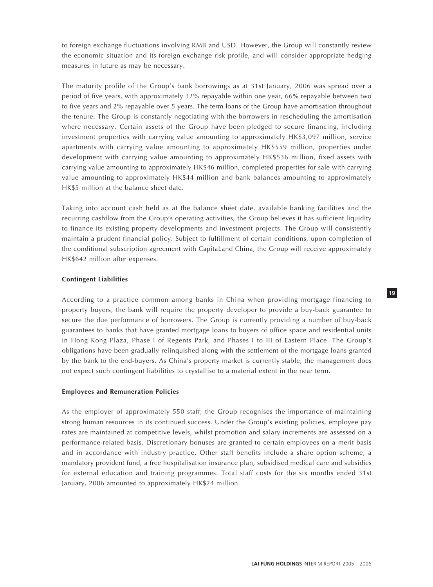to foreign exchange fluctuations involving RMB and USD. However, the Group will constantly review the economic situation and its foreign exchange risk profile, and will consider appropriate hedging measures in future as may be necessary.

The maturity profile of the Group's bank borrowings as at 31st January, 2006 was spread over a period of five years, with approximately 32% repayable within one year, 66% repayable between two to five years and 2% repayable over 5 years. The term loans of the Group have amortisation throughout the tenure. The Group is constantly negotiating with the borrowers in rescheduling the amortisation where necessary. Certain assets of the Group have been pledged to secure financing, including investment properties with carrying value amounting to approximately HK\$3,097 million, service apartments with carrying value amounting to approximately HK\$559 million, properties under development with carrying value amounting to approximately HK\$536 million, fixed assets with carrying value amounting to approximately HK\$46 million, completed properties for sale with carrying value amounting to approximately HK\$44 million and bank balances amounting to approximately HK\$5 million at the balance sheet date.

Taking into account cash held as at the balance sheet date, available banking facilities and the recurring cashflow from the Group's operating activities, the Group believes it has sufficient liquidity to finance its existing property developments and investment projects. The Group will consistently maintain a prudent financial policy. Subject to fulfillment of certain conditions, upon completion of the conditional subscription agreement with CapitaLand China, the Group will receive approximately HK\$642 million after expenses.

#### **Contingent Liabilities**

According to a practice common among banks in China when providing mortgage financing to property buyers, the bank will require the property developer to provide a buy-back guarantee to secure the due performance of borrowers. The Group is currently providing a number of buy-back guarantees to banks that have granted mortgage loans to buyers of office space and residential units in Hong Kong Plaza, Phase I of Regents Park, and Phases I to III of Eastern Place. The Group's obligations have been gradually relinquished along with the settlement of the mortgage loans granted by the bank to the end-buyers. As China's property market is currently stable, the management does not expect such contingent liabilities to crystallise to a material extent in the near term.

#### **Employees and Remuneration Policies**

As the employer of approximately 550 staff, the Group recognises the importance of maintaining strong human resources in its continued success. Under the Group's existing policies, employee pay rates are maintained at competitive levels, whilst promotion and salary increments are assessed on a performance-related basis. Discretionary bonuses are granted to certain employees on a merit basis and in accordance with industry practice. Other staff benefits include a share option scheme, a mandatory provident fund, a free hospitalisation insurance plan, subsidised medical care and subsidies for external education and training programmes. Total staff costs for the six months ended 31st January, 2006 amounted to approximately HK\$24 million.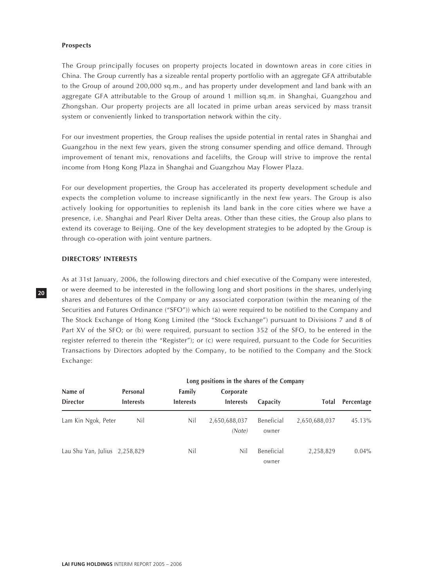#### **Prospects**

The Group principally focuses on property projects located in downtown areas in core cities in China. The Group currently has a sizeable rental property portfolio with an aggregate GFA attributable to the Group of around 200,000 sq.m., and has property under development and land bank with an aggregate GFA attributable to the Group of around 1 million sq.m. in Shanghai, Guangzhou and Zhongshan. Our property projects are all located in prime urban areas serviced by mass transit system or conveniently linked to transportation network within the city.

For our investment properties, the Group realises the upside potential in rental rates in Shanghai and Guangzhou in the next few years, given the strong consumer spending and office demand. Through improvement of tenant mix, renovations and facelifts, the Group will strive to improve the rental income from Hong Kong Plaza in Shanghai and Guangzhou May Flower Plaza.

For our development properties, the Group has accelerated its property development schedule and expects the completion volume to increase significantly in the next few years. The Group is also actively looking for opportunities to replenish its land bank in the core cities where we have a presence, i.e. Shanghai and Pearl River Delta areas. Other than these cities, the Group also plans to extend its coverage to Beijing. One of the key development strategies to be adopted by the Group is through co-operation with joint venture partners.

## **DIRECTORS' INTERESTS**

As at 31st January, 2006, the following directors and chief executive of the Company were interested, or were deemed to be interested in the following long and short positions in the shares, underlying shares and debentures of the Company or any associated corporation (within the meaning of the Securities and Futures Ordinance ("SFO")) which (a) were required to be notified to the Company and The Stock Exchange of Hong Kong Limited (the "Stock Exchange") pursuant to Divisions 7 and 8 of Part XV of the SFO; or (b) were required, pursuant to section 352 of the SFO, to be entered in the register referred to therein (the "Register"); or (c) were required, pursuant to the Code for Securities Transactions by Directors adopted by the Company, to be notified to the Company and the Stock Exchange:

|                                 | Long positions in the shares of the Company |                            |                               |                     |               |            |
|---------------------------------|---------------------------------------------|----------------------------|-------------------------------|---------------------|---------------|------------|
| Name of<br><b>Director</b>      | Personal<br><b>Interests</b>                | Family<br><b>Interests</b> | Corporate<br><b>Interests</b> |                     | <b>Total</b>  | Percentage |
|                                 |                                             |                            |                               | Capacity            |               |            |
| Lam Kin Ngok, Peter             | Nil                                         | Nil                        | 2,650,688,037<br>(Note)       | Beneficial<br>owner | 2,650,688,037 | 45.13%     |
| Lau Shu Yan, Julius $2,258,829$ |                                             | Nil                        | Nil                           | Beneficial<br>owner | 2,258,829     | $0.04\%$   |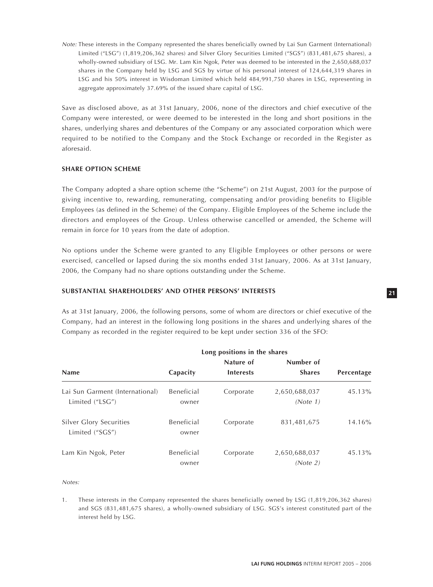Note: These interests in the Company represented the shares beneficially owned by Lai Sun Garment (International) Limited ("LSG") (1,819,206,362 shares) and Silver Glory Securities Limited ("SGS") (831,481,675 shares), a wholly-owned subsidiary of LSG. Mr. Lam Kin Ngok, Peter was deemed to be interested in the 2,650,688,037 shares in the Company held by LSG and SGS by virtue of his personal interest of 124,644,319 shares in LSG and his 50% interest in Wisdoman Limited which held 484,991,750 shares in LSG, representing in aggregate approximately 37.69% of the issued share capital of LSG.

Save as disclosed above, as at 31st January, 2006, none of the directors and chief executive of the Company were interested, or were deemed to be interested in the long and short positions in the shares, underlying shares and debentures of the Company or any associated corporation which were required to be notified to the Company and the Stock Exchange or recorded in the Register as aforesaid.

## **SHARE OPTION SCHEME**

The Company adopted a share option scheme (the "Scheme") on 21st August, 2003 for the purpose of giving incentive to, rewarding, remunerating, compensating and/or providing benefits to Eligible Employees (as defined in the Scheme) of the Company. Eligible Employees of the Scheme include the directors and employees of the Group. Unless otherwise cancelled or amended, the Scheme will remain in force for 10 years from the date of adoption.

No options under the Scheme were granted to any Eligible Employees or other persons or were exercised, cancelled or lapsed during the six months ended 31st January, 2006. As at 31st January, 2006, the Company had no share options outstanding under the Scheme.

## **SUBSTANTIAL SHAREHOLDERS' AND OTHER PERSONS' INTERESTS**

As at 31st January, 2006, the following persons, some of whom are directors or chief executive of the Company, had an interest in the following long positions in the shares and underlying shares of the Company as recorded in the register required to be kept under section 336 of the SFO:

|                                                    | Long positions in the shares |                  |                           |            |
|----------------------------------------------------|------------------------------|------------------|---------------------------|------------|
|                                                    |                              | Nature of        | Number of                 |            |
| <b>Name</b>                                        | Capacity                     | <b>Interests</b> | <b>Shares</b>             | Percentage |
| Lai Sun Garment (International)<br>Limited ("LSG") | Beneficial<br>owner          | Corporate        | 2,650,688,037<br>(Note 1) | 45.13%     |
| Silver Glory Securities<br>Limited ("SGS")         | Beneficial<br>owner          | Corporate        | 831,481,675               | 14.16%     |
| Lam Kin Ngok, Peter                                | Beneficial<br>owner          | Corporate        | 2,650,688,037<br>(Note 2) | 45.13%     |

Notes:

1. These interests in the Company represented the shares beneficially owned by LSG (1,819,206,362 shares) and SGS (831,481,675 shares), a wholly-owned subsidiary of LSG. SGS's interest constituted part of the interest held by LSG.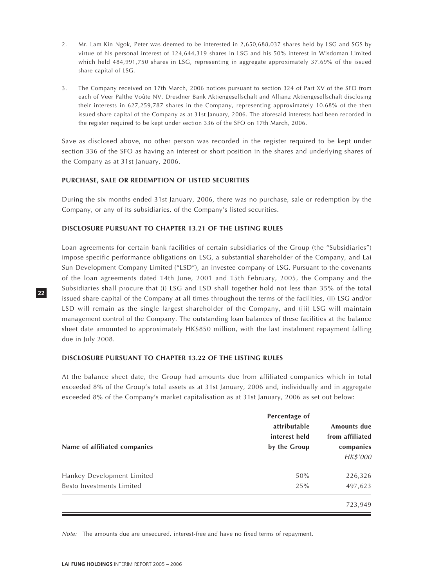- 2. Mr. Lam Kin Ngok, Peter was deemed to be interested in 2,650,688,037 shares held by LSG and SGS by virtue of his personal interest of 124,644,319 shares in LSG and his 50% interest in Wisdoman Limited which held 484,991,750 shares in LSG, representing in aggregate approximately 37.69% of the issued share capital of LSG.
- 3. The Company received on 17th March, 2006 notices pursuant to section 324 of Part XV of the SFO from each of Veer Palthe Voûte NV, Dresdner Bank Aktiengesellschaft and Allianz Aktiengesellschaft disclosing their interests in 627,259,787 shares in the Company, representing approximately 10.68% of the then issued share capital of the Company as at 31st January, 2006. The aforesaid interests had been recorded in the register required to be kept under section 336 of the SFO on 17th March, 2006.

Save as disclosed above, no other person was recorded in the register required to be kept under section 336 of the SFO as having an interest or short position in the shares and underlying shares of the Company as at 31st January, 2006.

## **PURCHASE, SALE OR REDEMPTION OF LISTED SECURITIES**

During the six months ended 31st January, 2006, there was no purchase, sale or redemption by the Company, or any of its subsidiaries, of the Company's listed securities.

## **DISCLOSURE PURSUANT TO CHAPTER 13.21 OF THE LISTING RULES**

Loan agreements for certain bank facilities of certain subsidiaries of the Group (the "Subsidiaries") impose specific performance obligations on LSG, a substantial shareholder of the Company, and Lai Sun Development Company Limited ("LSD"), an investee company of LSG. Pursuant to the covenants of the loan agreements dated 14th June, 2001 and 15th February, 2005, the Company and the Subsidiaries shall procure that (i) LSG and LSD shall together hold not less than 35% of the total issued share capital of the Company at all times throughout the terms of the facilities, (ii) LSG and/or LSD will remain as the single largest shareholder of the Company, and (iii) LSG will maintain management control of the Company. The outstanding loan balances of these facilities at the balance sheet date amounted to approximately HK\$850 million, with the last instalment repayment falling due in July 2008.

#### **DISCLOSURE PURSUANT TO CHAPTER 13.22 OF THE LISTING RULES**

At the balance sheet date, the Group had amounts due from affiliated companies which in total exceeded 8% of the Group's total assets as at 31st January, 2006 and, individually and in aggregate exceeded 8% of the Company's market capitalisation as at 31st January, 2006 as set out below:

| Name of affiliated companies | Percentage of<br>attributable<br>interest held<br>by the Group | Amounts due<br>from affiliated<br>companies<br>HK\$'000 |
|------------------------------|----------------------------------------------------------------|---------------------------------------------------------|
| Hankey Development Limited   | 50%                                                            | 226,326                                                 |
| Besto Investments Limited    | 25%                                                            | 497,623                                                 |
|                              |                                                                | 723,949                                                 |

Note: The amounts due are unsecured, interest-free and have no fixed terms of repayment.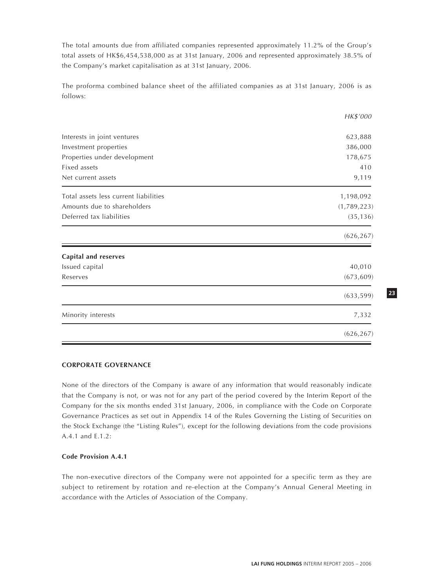The total amounts due from affiliated companies represented approximately 11.2% of the Group's total assets of HK\$6,454,538,000 as at 31st January, 2006 and represented approximately 38.5% of the Company's market capitalisation as at 31st January, 2006.

The proforma combined balance sheet of the affiliated companies as at 31st January, 2006 is as follows:

|                                              | HK\$'000       |
|----------------------------------------------|----------------|
|                                              |                |
| Interests in joint ventures                  | 623,888        |
| Investment properties                        | 386,000        |
| Properties under development<br>Fixed assets | 178,675<br>410 |
| Net current assets                           | 9,119          |
| Total assets less current liabilities        | 1,198,092      |
| Amounts due to shareholders                  | (1,789,223)    |
| Deferred tax liabilities                     | (35, 136)      |
|                                              | (626, 267)     |
| <b>Capital and reserves</b>                  |                |
| Issued capital                               | 40,010         |
| Reserves                                     | (673, 609)     |
|                                              | (633, 599)     |
| Minority interests                           | 7,332          |
|                                              | (626, 267)     |

#### **CORPORATE GOVERNANCE**

None of the directors of the Company is aware of any information that would reasonably indicate that the Company is not, or was not for any part of the period covered by the Interim Report of the Company for the six months ended 31st January, 2006, in compliance with the Code on Corporate Governance Practices as set out in Appendix 14 of the Rules Governing the Listing of Securities on the Stock Exchange (the "Listing Rules"), except for the following deviations from the code provisions A.4.1 and E.1.2:

## **Code Provision A.4.1**

The non-executive directors of the Company were not appointed for a specific term as they are subject to retirement by rotation and re-election at the Company's Annual General Meeting in accordance with the Articles of Association of the Company.